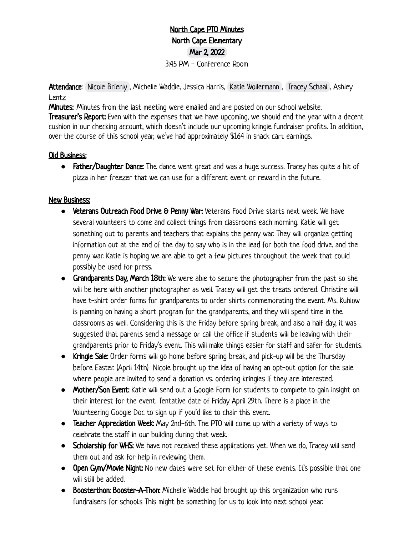## North Cape PTO Minutes North Cape Elementary Mar 2, 2022 3:45 PM - Conference Room

Attendance: [Nicole Brierly](mailto:brierly@me.com), Michelle Waddle, Jessica Harris, [Katie Wollermann](mailto:katie.wollermann@gmail.com), [Tracey Schaal](mailto:traceyschaal@gmail.com), Ashley Lentz

**Minutes:**: Minutes from the last meeting were emailed and are posted on our school website.

Treasurer's Report: Even with the expenses that we have upcoming, we should end the year with a decent cushion in our checking account, which doesn't include our upcoming kringle fundraiser profits. In addition, over the course of this school year, we've had approximately \$164 in snack cart earnings.

## Old Business:

• Father/Daughter Dance: The dance went great and was a huge success. Tracey has quite a bit of pizza in her freezer that we can use for a different event or reward in the future.

## New Business:

- **●** Veterans Outreach Food Drive & Penny War: Veterans Food Drive starts next week. We have several volunteers to come and collect things from classrooms each morning. Katie will get something out to parents and teachers that explains the penny war. They will organize getting information out at the end of the day to say who is in the lead for both the food drive, and the penny war. Katie is hoping we are able to get a few pictures throughout the week that could possibly be used for press.
- **●** Grandparents Day, March 18th: We were able to secure the photographer from the past so she will be here with another photographer as well. Tracey will get the treats ordered. Christine will have t-shirt order forms for grandparents to order shirts commemorating the event. Ms. Kuhlow is planning on having a short program for the grandparents, and they will spend time in the classrooms as well. Considering this is the Friday before spring break, and also a half day, it was suggested that parents send a message or call the office if students will be leaving with their grandparents prior to Friday's event. This will make things easier for staff and safer for students.
- **●** Kringle Sale: Order forms will go home before spring break, and pick-up will be the Thursday before Easter. (April 14th) Nicole brought up the idea of having an opt-out option for the sale where people are invited to send a donation vs. ordering kringles if they are interested.
- **●** Mother/Son Event: Katie will send out a Google Form for students to complete to gain insight on their interest for the event. Tentative date of Friday April 29th. There is a place in the Volunteering Google Doc to sign up if you'd like to chair this event.
- **●** Teacher Appreciation Week: May 2nd-6th. The PTO will come up with a variety of ways to celebrate the staff in our building during that week.
- **•** Scholarship for WHS: We have not received these applications yet. When we do, Tracey will send them out and ask for help in reviewing them.
- **●** Open Gym/Movie Night: No new dates were set for either of these events. It's possible that one will still be added.
- **●** Boosterthon: Booster-A-Thon: Michelle Waddle had brought up this organization who runs fundraisers for school.s This might be something for us to look into next school year.